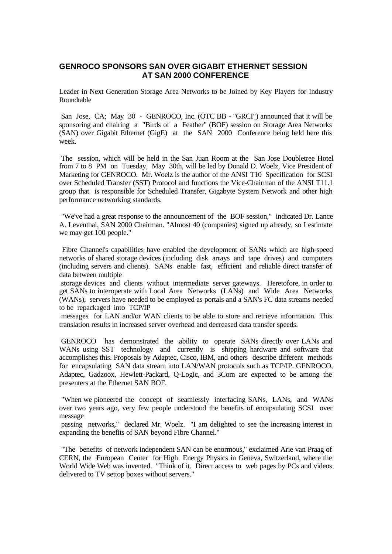## **GENROCO SPONSORS SAN OVER GIGABIT ETHERNET SESSION AT SAN 2000 CONFERENCE**

Leader in Next Generation Storage Area Networks to be Joined by Key Players for Industry Roundtable

San Jose, CA; May 30 - GENROCO, Inc. (OTC BB - "GRCI") announced that it will be sponsoring and chairing a "Birds of a Feather" (BOF) session on Storage Area Networks (SAN) over Gigabit Ethernet (GigE) at the SAN 2000 Conference being held here this week.

The session, which will be held in the San Juan Room at the San Jose Doubletree Hotel from 7 to 8 PM on Tuesday, May 30th, will be led by Donald D. Woelz, Vice President of Marketing for GENROCO. Mr. Woelz is the author of the ANSI T10 Specification for SCSI over Scheduled Transfer (SST) Protocol and functions the Vice-Chairman of the ANSI T11.1 group that is responsible for Scheduled Transfer, Gigabyte System Network and other high performance networking standards.

 "We've had a great response to the announcement of the BOF session," indicated Dr. Lance A. Leventhal, SAN 2000 Chairman. "Almost 40 (companies) signed up already, so I estimate we may get 100 people."

 Fibre Channel's capabilities have enabled the development of SANs which are high-speed networks of shared storage devices (including disk arrays and tape drives) and computers (including servers and clients). SANs enable fast, efficient and reliable direct transfer of data between multiple

storage devices and clients without intermediate server gateways. Heretofore, in order to get SANs to interoperate with Local Area Networks (LANs) and Wide Area Networks (WANs), servers have needed to be employed as portals and a SAN's FC data streams needed to be repackaged into TCP/IP

messages for LAN and/or WAN clients to be able to store and retrieve information. This translation results in increased server overhead and decreased data transfer speeds.

GENROCO has demonstrated the ability to operate SANs directly over LANs and WANs using SST technology and currently is shipping hardware and software that accomplishes this. Proposals by Adaptec, Cisco, IBM, and others describe different methods for encapsulating SAN data stream into LAN/WAN protocols such as TCP/IP. GENROCO, Adaptec, Gadzoox, Hewlett-Packard, Q-Logic, and 3Com are expected to be among the presenters at the Ethernet SAN BOF.

 "When we pioneered the concept of seamlessly interfacing SANs, LANs, and WANs over two years ago, very few people understood the benefits of encapsulating SCSI over message

passing networks," declared Mr. Woelz. "I am delighted to see the increasing interest in expanding the benefits of SAN beyond Fibre Channel."

"The benefits of network independent SAN can be enormous," exclaimed Arie van Praag of CERN, the European Center for High Energy Physics in Geneva, Switzerland, where the World Wide Web was invented. "Think of it. Direct access to web pages by PCs and videos delivered to TV settop boxes without servers."